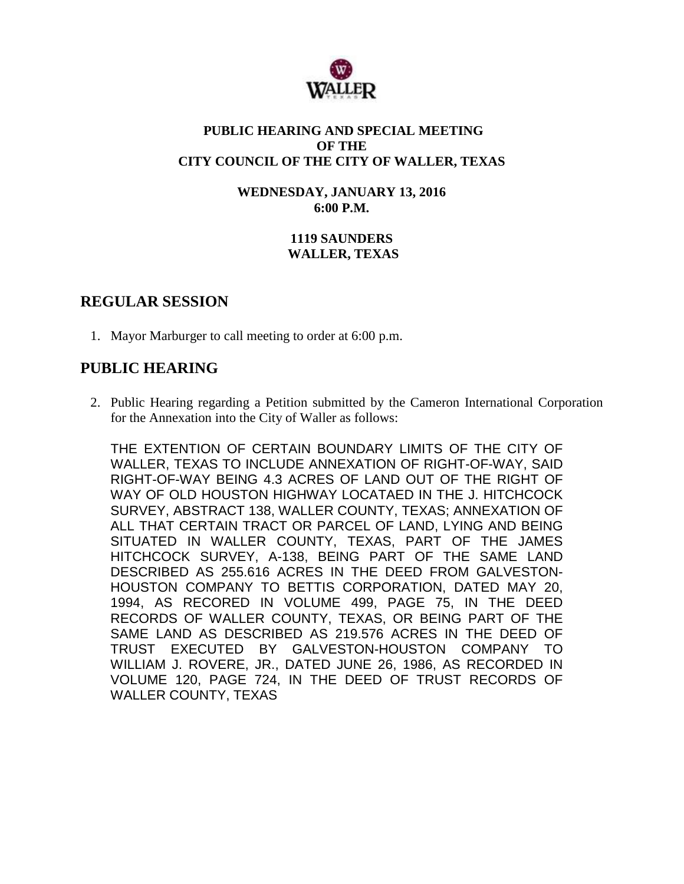

### **PUBLIC HEARING AND SPECIAL MEETING OF THE CITY COUNCIL OF THE CITY OF WALLER, TEXAS**

**WEDNESDAY, JANUARY 13, 2016 6:00 P.M.**

## **1119 SAUNDERS WALLER, TEXAS**

## **REGULAR SESSION**

1. Mayor Marburger to call meeting to order at 6:00 p.m.

# **PUBLIC HEARING**

2. Public Hearing regarding a Petition submitted by the Cameron International Corporation for the Annexation into the City of Waller as follows:

THE EXTENTION OF CERTAIN BOUNDARY LIMITS OF THE CITY OF WALLER, TEXAS TO INCLUDE ANNEXATION OF RIGHT-OF-WAY, SAID RIGHT-OF-WAY BEING 4.3 ACRES OF LAND OUT OF THE RIGHT OF WAY OF OLD HOUSTON HIGHWAY LOCATAED IN THE J. HITCHCOCK SURVEY, ABSTRACT 138, WALLER COUNTY, TEXAS; ANNEXATION OF ALL THAT CERTAIN TRACT OR PARCEL OF LAND, LYING AND BEING SITUATED IN WALLER COUNTY, TEXAS, PART OF THE JAMES HITCHCOCK SURVEY, A-138, BEING PART OF THE SAME LAND DESCRIBED AS 255.616 ACRES IN THE DEED FROM GALVESTON-HOUSTON COMPANY TO BETTIS CORPORATION, DATED MAY 20, 1994, AS RECORED IN VOLUME 499, PAGE 75, IN THE DEED RECORDS OF WALLER COUNTY, TEXAS, OR BEING PART OF THE SAME LAND AS DESCRIBED AS 219.576 ACRES IN THE DEED OF TRUST EXECUTED BY GALVESTON-HOUSTON COMPANY TO WILLIAM J. ROVERE, JR., DATED JUNE 26, 1986, AS RECORDED IN VOLUME 120, PAGE 724, IN THE DEED OF TRUST RECORDS OF WALLER COUNTY, TEXAS